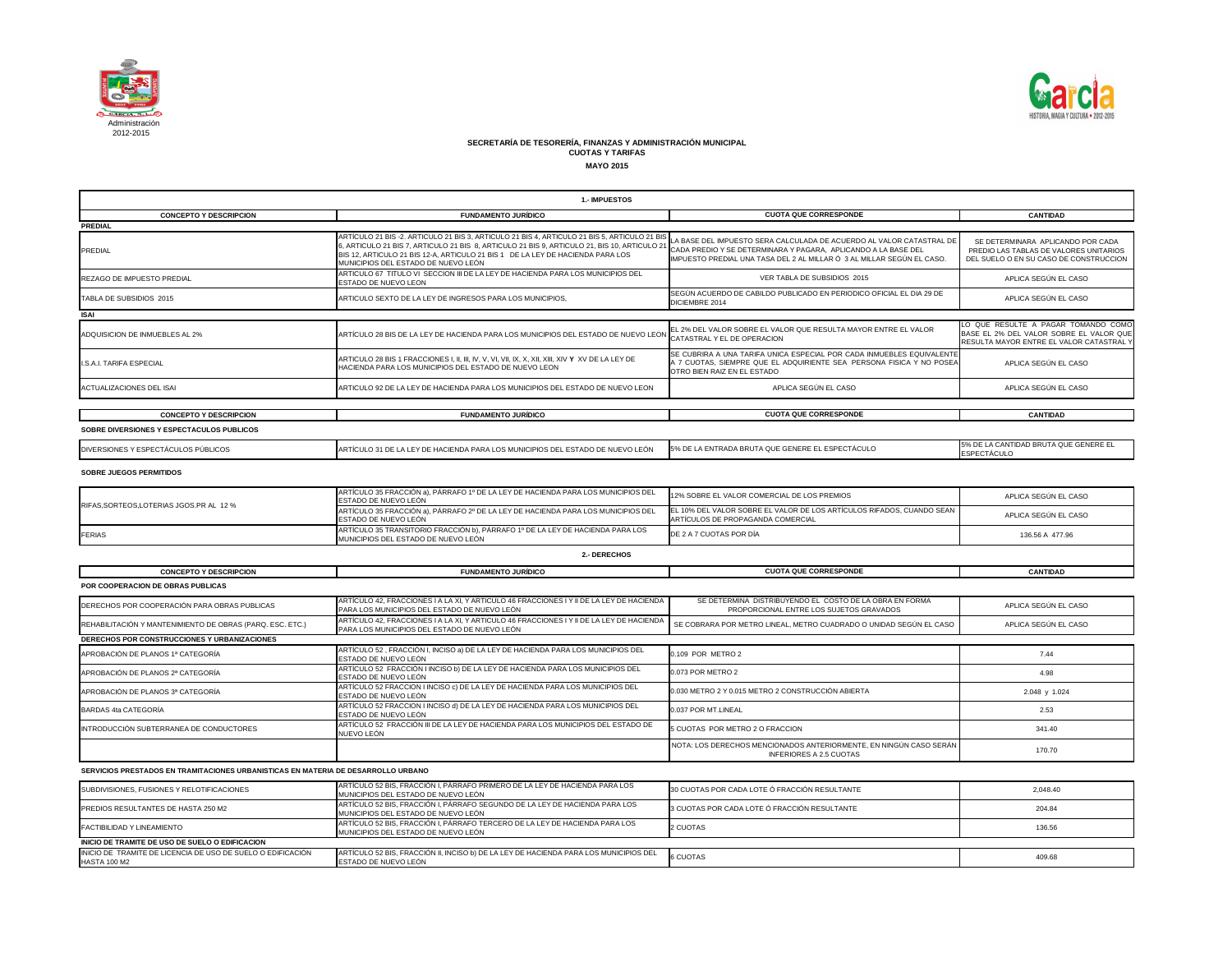

| <b>1.- IMPUESTOS</b>                                                               |                                                                                                                                                                                                                                                                                                                      |                                                                                                                                                                                                                  |                                                                                                                          |
|------------------------------------------------------------------------------------|----------------------------------------------------------------------------------------------------------------------------------------------------------------------------------------------------------------------------------------------------------------------------------------------------------------------|------------------------------------------------------------------------------------------------------------------------------------------------------------------------------------------------------------------|--------------------------------------------------------------------------------------------------------------------------|
| <b>CONCEPTO Y DESCRIPCION</b>                                                      | <b>FUNDAMENTO JURÍDICO</b>                                                                                                                                                                                                                                                                                           | <b>CUOTA QUE CORRESPONDE</b>                                                                                                                                                                                     | <b>CANTIDAD</b>                                                                                                          |
| <b>PREDIAL</b>                                                                     |                                                                                                                                                                                                                                                                                                                      |                                                                                                                                                                                                                  |                                                                                                                          |
| <b>PREDIAL</b>                                                                     | ARTÍCULO 21 BIS -2. ARTICULO 21 BIS 3, ARTICULO 21 BIS 4, ARTICULO 21 BIS 5, ARTICULO 21 BI<br>5, ARTICULO 21 BIS 7, ARTICULO 21 BIS 8, ARTICULO 21 BIS 9, ARTICULO 21, BIS 10, ARTICULO 21<br>BIS 12, ARTICULO 21 BIS 12-A, ARTICULO 21 BIS 1 DE LA LEY DE HACIENDA PARA LOS<br>MUNICIPIOS DEL ESTADO DE NUEVO LEÓN | LA BASE DEL IMPUESTO SERA CALCULADA DE ACUERDO AL VALOR CATASTRAL DE<br>CADA PREDIO Y SE DETERMINARA Y PAGARA, APLICANDO A LA BASE DEL<br>IMPUESTO PREDIAL UNA TASA DEL 2 AL MILLAR Ó 3 AL MILLAR SEGÚN EL CASO. | SE DETERMINARA APLICANDO POR CADA<br>PREDIO LAS TABLAS DE VALORES UNITARIOS<br>DEL SUELO O EN SU CASO DE CONSTRUCCION    |
| <b>REZAGO DE IMPUESTO PREDIAL</b>                                                  | ARTICULO 67 TITULO VI SECCION III DE LA LEY DE HACIENDA PARA LOS MUNICIPIOS DEL<br>ESTADO DE NUEVO LEON                                                                                                                                                                                                              | VER TABLA DE SUBSIDIOS 2015                                                                                                                                                                                      | APLICA SEGÚN EL CASO                                                                                                     |
| TABLA DE SUBSIDIOS 2015                                                            | ARTICULO SEXTO DE LA LEY DE INGRESOS PARA LOS MUNICIPIOS,                                                                                                                                                                                                                                                            | SEGÚN ACUERDO DE CABILDO PUBLICADO EN PERIODICO OFICIAL EL DIA 29 DE<br>DICIEMBRE 2014                                                                                                                           | APLICA SEGÚN EL CASO                                                                                                     |
| <b>ISAI</b>                                                                        |                                                                                                                                                                                                                                                                                                                      |                                                                                                                                                                                                                  |                                                                                                                          |
| ADQUISICION DE INMUEBLES AL 2%                                                     | ARTÍCULO 28 BIS DE LA LEY DE HACIENDA PARA LOS MUNICIPIOS DEL ESTADO DE NUEVO LEON                                                                                                                                                                                                                                   | EL 2% DEL VALOR SOBRE EL VALOR QUE RESULTA MAYOR ENTRE EL VALOR<br>CATASTRAL Y EL DE OPERACION                                                                                                                   | LO QUE RESULTE A PAGAR TOMANDO COMO<br>BASE EL 2% DEL VALOR SOBRE EL VALOR QUE<br>RESULTA MAYOR ENTRE EL VALOR CATASTRAL |
| I.S.A.I. TARIFA ESPECIAL                                                           | HACIENDA PARA LOS MUNICIPIOS DEL ESTADO DE NUEVO LEON                                                                                                                                                                                                                                                                | SE CUBRIRA A UNA TARIFA UNICA ESPECIAL POR CADA INMUEBLES EQUIVALENTE<br>A 7 CUOTAS, SIEMPRE QUE EL ADQUIRIENTE SEA PERSONA FISICA Y NO POSEA<br>OTRO BIEN RAIZ EN EL ESTADO                                     | APLICA SEGÚN EL CASO                                                                                                     |
| <b>ACTUALIZACIONES DEL ISAI</b>                                                    | ARTICULO 92 DE LA LEY DE HACIENDA PARA LOS MUNICIPIOS DEL ESTADO DE NUEVO LEON                                                                                                                                                                                                                                       | APLICA SEGÚN EL CASO                                                                                                                                                                                             | APLICA SEGÚN EL CASO                                                                                                     |
|                                                                                    |                                                                                                                                                                                                                                                                                                                      |                                                                                                                                                                                                                  |                                                                                                                          |
| <b>CONCEPTO Y DESCRIPCION</b>                                                      | <b>FUNDAMENTO JURÍDICO</b>                                                                                                                                                                                                                                                                                           | <b>CUOTA QUE CORRESPONDE</b>                                                                                                                                                                                     | <b>CANTIDAD</b>                                                                                                          |
| SOBRE DIVERSIONES Y ESPECTACULOS PUBLICOS                                          |                                                                                                                                                                                                                                                                                                                      |                                                                                                                                                                                                                  |                                                                                                                          |
| DIVERSIONES Y ESPECTÁCULOS PÚBLICOS                                                | ARTÍCULO 31 DE LA LEY DE HACIENDA PARA LOS MUNICIPIOS DEL ESTADO DE NUEVO LEÓN                                                                                                                                                                                                                                       | 5% DE LA ENTRADA BRUTA QUE GENERE EL ESPECTÁCULO                                                                                                                                                                 | 5% DE LA CANTIDAD BRUTA QUE GENERE EL<br><b>ESPECTÁCULO</b>                                                              |
| <b>SOBRE JUEGOS PERMITIDOS</b>                                                     |                                                                                                                                                                                                                                                                                                                      |                                                                                                                                                                                                                  |                                                                                                                          |
|                                                                                    | ARTÍCULO 35 FRACCIÓN a), PÁRRAFO 1º DE LA LEY DE HACIENDA PARA LOS MUNICIPIOS DEL<br>ESTADO DE NUEVO LEÓN                                                                                                                                                                                                            | 12% SOBRE EL VALOR COMERCIAL DE LOS PREMIOS                                                                                                                                                                      | APLICA SEGÚN EL CASO                                                                                                     |
| RIFAS, SORTEOS, LOTERIAS JGOS.PR AL 12 %                                           | ARTÍCULO 35 FRACCIÓN a), PÁRRAFO 2º DE LA LEY DE HACIENDA PARA LOS MUNICIPIOS DEL<br>ESTADO DE NUEVO LEÓN                                                                                                                                                                                                            | EL 10% DEL VALOR SOBRE EL VALOR DE LOS ARTÍCULOS RIFADOS, CUANDO SEAN<br>ARTÍCULOS DE PROPAGANDA COMERCIAL                                                                                                       | APLICA SEGÚN EL CASO                                                                                                     |
| <b>FERIAS</b>                                                                      | ARTÍCULO 35 TRANSITORIO FRACCIÓN b), PÁRRAFO 1º DE LA LEY DE HACIENDA PARA LOS<br>MUNICIPIOS DEL ESTADO DE NUEVO LEÓN                                                                                                                                                                                                | DE 2 A 7 CUOTAS POR DÍA                                                                                                                                                                                          | 136.56 A 477.96                                                                                                          |
|                                                                                    | 2.- DERECHOS                                                                                                                                                                                                                                                                                                         |                                                                                                                                                                                                                  |                                                                                                                          |
| <b>CONCEPTO Y DESCRIPCION</b>                                                      | <b>FUNDAMENTO JURÍDICO</b>                                                                                                                                                                                                                                                                                           | <b>CUOTA QUE CORRESPONDE</b>                                                                                                                                                                                     | <b>CANTIDAD</b>                                                                                                          |
| <b>POR COOPERACION DE OBRAS PUBLICAS</b>                                           |                                                                                                                                                                                                                                                                                                                      |                                                                                                                                                                                                                  |                                                                                                                          |
| DERECHOS POR COOPERACIÓN PARA OBRAS PUBLICAS                                       | ARTÍCULO 42, FRACCIONES I A LA XI, Y ARTICULO 46 FRACCIONES I Y II DE LA LEY DE HACIENDA<br>PARA LOS MUNICIPIOS DEL ESTADO DE NUEVO LEÓN                                                                                                                                                                             | SE DETERMINA DISTRIBUYENDO EL COSTO DE LA OBRA EN FORMA<br>PROPORCIONAL ENTRE LOS SUJETOS GRAVADOS                                                                                                               | APLICA SEGÚN EL CASO                                                                                                     |
| REHABILITACIÓN Y MANTENIMIENTO DE OBRAS (PARQ. ESC. ETC.)                          | ARTÍCULO 42, FRACCIONES I A LA XI, Y ARTICULO 46 FRACCIONES I Y II DE LA LEY DE HACIENDA<br>PARA LOS MUNICIPIOS DEL ESTADO DE NUEVO LEÓN                                                                                                                                                                             | SE COBRARA POR METRO LINEAL, METRO CUADRADO O UNIDAD SEGÚN EL CASO                                                                                                                                               | APLICA SEGÚN EL CASO                                                                                                     |
| DERECHOS POR CONSTRUCCIONES Y URBANIZACIONES                                       |                                                                                                                                                                                                                                                                                                                      |                                                                                                                                                                                                                  |                                                                                                                          |
| APROBACIÓN DE PLANOS 1ª CATEGORÍA                                                  | ARTÍCULO 52, FRACCIÓN I, INCISO a) DE LA LEY DE HACIENDA PARA LOS MUNICIPIOS DEL<br>ESTADO DE NUEVO LEÓN                                                                                                                                                                                                             | 0.109 POR METRO 2                                                                                                                                                                                                | 7.44                                                                                                                     |
| APROBACIÓN DE PLANOS 2ª CATEGORÍA                                                  | ARTÍCULO 52 FRACCIÓN I INCISO b) DE LA LEY DE HACIENDA PARA LOS MUNICIPIOS DEL<br>ESTADO DE NUEVO LEÓN                                                                                                                                                                                                               | 0.073 POR METRO 2                                                                                                                                                                                                | 4.98                                                                                                                     |
| APROBACIÓN DE PLANOS 3ª CATEGORÍA                                                  | ARTÍCULO 52 FRACCION I INCISO c) DE LA LEY DE HACIENDA PARA LOS MUNICIPIOS DEL<br>ESTADO DE NUEVO LEÓN                                                                                                                                                                                                               | 0.030 METRO 2 Y 0.015 METRO 2 CONSTRUCCIÓN ABIERTA                                                                                                                                                               | 2.048 y 1.024                                                                                                            |
| <b>BARDAS 4ta CATEGORÍA</b>                                                        | ARTÍCULO 52 FRACCION I INCISO d) DE LA LEY DE HACIENDA PARA LOS MUNICIPIOS DEL<br>ESTADO DE NUEVO LEÓN                                                                                                                                                                                                               | 0.037 POR MT.LINEAL                                                                                                                                                                                              | 2.53                                                                                                                     |
| INTRODUCCIÓN SUBTERRANEA DE CONDUCTORES                                            | ARTÍCULO 52 FRACCIÓN III DE LA LEY DE HACIENDA PARA LOS MUNICIPIOS DEL ESTADO DE<br>NUEVO LEÓN                                                                                                                                                                                                                       | 5 CUOTAS POR METRO 2 O FRACCION                                                                                                                                                                                  | 341.40                                                                                                                   |
|                                                                                    |                                                                                                                                                                                                                                                                                                                      | NOTA: LOS DERECHOS MENCIONADOS ANTERIORMENTE, EN NINGÚN CASO SERÁN<br><b>INFERIORES A 2.5 CUOTAS</b>                                                                                                             | 170.70                                                                                                                   |
| SERVICIOS PRESTADOS EN TRAMITACIONES URBANISTICAS EN MATERIA DE DESARROLLO URBANO  |                                                                                                                                                                                                                                                                                                                      |                                                                                                                                                                                                                  |                                                                                                                          |
| SUBDIVISIONES, FUSIONES Y RELOTIFICACIONES                                         | ARTÍCULO 52 BIS, FRACCIÓN I, PÁRRAFO PRIMERO DE LA LEY DE HACIENDA PARA LOS<br>MUNICIPIOS DEL ESTADO DE NUEVO LEÓN                                                                                                                                                                                                   | 30 CUOTAS POR CADA LOTE Ó FRACCIÓN RESULTANTE                                                                                                                                                                    | 2,048.40                                                                                                                 |
| PREDIOS RESULTANTES DE HASTA 250 M2                                                | ARTÍCULO 52 BIS, FRACCIÓN I, PÁRRAFO SEGUNDO DE LA LEY DE HACIENDA PARA LOS<br>MUNICIPIOS DEL ESTADO DE NUEVO LEÓN                                                                                                                                                                                                   | 3 CUOTAS POR CADA LOTE Ó FRACCIÓN RESULTANTE                                                                                                                                                                     | 204.84                                                                                                                   |
| FACTIBILIDAD Y LINEAMIENTO                                                         | ARTÍCULO 52 BIS, FRACCIÓN I, PÁRRAFO TERCERO DE LA LEY DE HACIENDA PARA LOS<br>MUNICIPIOS DEL ESTADO DE NUEVO LEÓN                                                                                                                                                                                                   | 2 CUOTAS                                                                                                                                                                                                         | 136.56                                                                                                                   |
| INICIO DE TRAMITE DE USO DE SUELO O EDIFICACION                                    |                                                                                                                                                                                                                                                                                                                      |                                                                                                                                                                                                                  |                                                                                                                          |
| INICIO DE TRAMITE DE LICENCIA DE USO DE SUELO O EDIFICACIÓN<br><b>HASTA 100 M2</b> | ARTÍCULO 52 BIS, FRACCIÓN II, INCISO b) DE LA LEY DE HACIENDA PARA LOS MUNICIPIOS DEL<br>ESTADO DE NUEVO LEÓN                                                                                                                                                                                                        | <b>6 CUOTAS</b>                                                                                                                                                                                                  | 409.68                                                                                                                   |

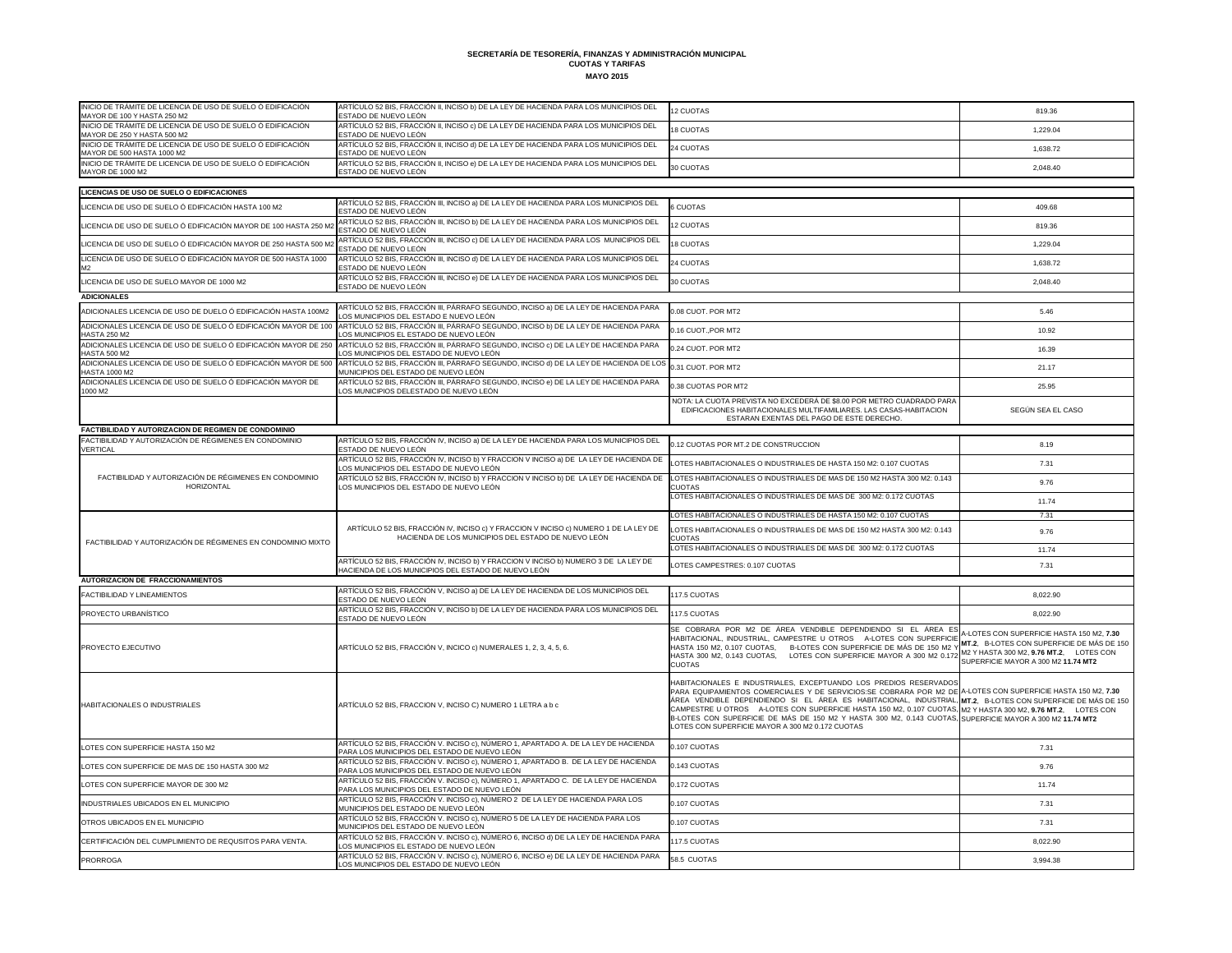| INICIO DE TRÁMITE DE LICENCIA DE USO DE SUELO Ó EDIFICACIÓN<br>MAYOR DE 100 Y HASTA 250 M2                                         | ARTÍCULO 52 BIS, FRACCIÓN II, INCISO b) DE LA LEY DE HACIENDA PARA LOS MUNICIPIOS DEL<br>ESTADO DE NUEVO LEÓN                               | 12 CUOTAS                                                                                                                                                                                                                                                                                                                                                                                                                                                                                                                                                                          | 819.36                                                                                                                                                                    |
|------------------------------------------------------------------------------------------------------------------------------------|---------------------------------------------------------------------------------------------------------------------------------------------|------------------------------------------------------------------------------------------------------------------------------------------------------------------------------------------------------------------------------------------------------------------------------------------------------------------------------------------------------------------------------------------------------------------------------------------------------------------------------------------------------------------------------------------------------------------------------------|---------------------------------------------------------------------------------------------------------------------------------------------------------------------------|
| INICIO DE TRÁMITE DE LICENCIA DE USO DE SUELO Ó EDIFICACIÓN<br>MAYOR DE 250 Y HASTA 500 M2                                         | ARTÍCULO 52 BIS, FRACCIÓN II, INCISO c) DE LA LEY DE HACIENDA PARA LOS MUNICIPIOS DEL<br>ESTADO DE NUEVO LEÓN                               | <b>18 CUOTAS</b>                                                                                                                                                                                                                                                                                                                                                                                                                                                                                                                                                                   | 1.229.04                                                                                                                                                                  |
| INICIO DE TRÁMITE DE LICENCIA DE USO DE SUELO Ó EDIFICACIÓN<br>MAYOR DE 500 HASTA 1000 M2                                          | ARTÍCULO 52 BIS, FRACCIÓN II, INCISO d) DE LA LEY DE HACIENDA PARA LOS MUNICIPIOS DEL<br>ESTADO DE NUEVO LEÓN                               | 24 CUOTAS                                                                                                                                                                                                                                                                                                                                                                                                                                                                                                                                                                          | 1,638.72                                                                                                                                                                  |
| INICIO DE TRÁMITE DE LICENCIA DE USO DE SUELO Ó EDIFICACIÓN<br><b>MAYOR DE 1000 M2</b>                                             | ARTÍCULO 52 BIS, FRACCIÓN II, INCISO e) DE LA LEY DE HACIENDA PARA LOS MUNICIPIOS DEL<br>ESTADO DE NUEVO LEÓN                               | 30 CUOTAS                                                                                                                                                                                                                                                                                                                                                                                                                                                                                                                                                                          | 2,048.40                                                                                                                                                                  |
|                                                                                                                                    |                                                                                                                                             |                                                                                                                                                                                                                                                                                                                                                                                                                                                                                                                                                                                    |                                                                                                                                                                           |
| LICENCIAS DE USO DE SUELO O EDIFICACIONES<br>LICENCIA DE USO DE SUELO Ó EDIFICACIÓN HASTA 100 M2                                   | ARTÍCULO 52 BIS, FRACCIÓN III, INCISO a) DE LA LEY DE HACIENDA PARA LOS MUNICIPIOS DEL                                                      | 6 CUOTAS                                                                                                                                                                                                                                                                                                                                                                                                                                                                                                                                                                           |                                                                                                                                                                           |
|                                                                                                                                    | ESTADO DE NUEVO LEÓN<br>ARTÍCULO 52 BIS, FRACCIÓN III, INCISO b) DE LA LEY DE HACIENDA PARA LOS MUNICIPIOS DEL                              |                                                                                                                                                                                                                                                                                                                                                                                                                                                                                                                                                                                    | 409.68                                                                                                                                                                    |
| LICENCIA DE USO DE SUELO Ó EDIFICACIÓN MAYOR DE 100 HASTA 250 M:                                                                   | ESTADO DE NUEVO LEÓN<br>ARTÍCULO 52 BIS, FRACCIÓN III, INCISO c) DE LA LEY DE HACIENDA PARA LOS MUNICIPIOS DEL                              | 12 CUOTAS                                                                                                                                                                                                                                                                                                                                                                                                                                                                                                                                                                          | 819.36                                                                                                                                                                    |
| LICENCIA DE USO DE SUELO Ó EDIFICACIÓN MAYOR DE 250 HASTA 500 M:<br>LICENCIA DE USO DE SUELO Ó EDIFICACIÓN MAYOR DE 500 HASTA 1000 | ESTADO DE NUEVO LEÓN<br>ARTÍCULO 52 BIS, FRACCIÓN III, INCISO d) DE LA LEY DE HACIENDA PARA LOS MUNICIPIOS DEL                              | 18 CUOTAS                                                                                                                                                                                                                                                                                                                                                                                                                                                                                                                                                                          | 1,229.04                                                                                                                                                                  |
|                                                                                                                                    | ESTADO DE NUEVO LEÓN<br>ARTÍCULO 52 BIS, FRACCIÓN III, INCISO e) DE LA LEY DE HACIENDA PARA LOS MUNICIPIOS DEL                              | 24 CUOTAS                                                                                                                                                                                                                                                                                                                                                                                                                                                                                                                                                                          | 1,638.72                                                                                                                                                                  |
| LICENCIA DE USO DE SUELO MAYOR DE 1000 M2                                                                                          | ESTADO DE NUEVO LEÓN                                                                                                                        | 30 CUOTAS                                                                                                                                                                                                                                                                                                                                                                                                                                                                                                                                                                          | 2,048.40                                                                                                                                                                  |
| <b>ADICIONALES</b>                                                                                                                 |                                                                                                                                             |                                                                                                                                                                                                                                                                                                                                                                                                                                                                                                                                                                                    |                                                                                                                                                                           |
| ADICIONALES LICENCIA DE USO DE DUELO Ó EDIFICACIÓN HASTA 100M2                                                                     | ARTÍCULO 52 BIS, FRACCIÓN III, PÁRRAFO SEGUNDO, INCISO a) DE LA LEY DE HACIENDA PARA<br>LOS MUNICIPIOS DEL ESTADO E NUEVO LEÓN              | 0.08 CUOT. POR MT2                                                                                                                                                                                                                                                                                                                                                                                                                                                                                                                                                                 | 5.46                                                                                                                                                                      |
| ADICIONALES LICENCIA DE USO DE SUELO Ó EDIFICACIÓN MAYOR DE 100<br><b>HASTA 250 M2</b>                                             | ARTÍCULO 52 BIS, FRACCIÓN III, PÁRRAFO SEGUNDO, INCISO b) DE LA LEY DE HACIENDA PARA<br>LOS MUNICIPIOS EL ESTADO DE NUEVO LEÓN              | 0.16 CUOT., POR MT2                                                                                                                                                                                                                                                                                                                                                                                                                                                                                                                                                                | 10.92                                                                                                                                                                     |
| ADICIONALES LICENCIA DE USO DE SUELO Ó EDIFICACIÓN MAYOR DE 250<br><b>HASTA 500 M2</b>                                             | ARTÍCULO 52 BIS, FRACCIÓN III, PÁRRAFO SEGUNDO, INCISO c) DE LA LEY DE HACIENDA PARA<br>LOS MUNICIPIOS DEL ESTADO DE NUEVO LEÓN             | 0.24 CUOT. POR MT2                                                                                                                                                                                                                                                                                                                                                                                                                                                                                                                                                                 | 16.39                                                                                                                                                                     |
| ADICIONALES LICENCIA DE USO DE SUELO Ó EDIFICACIÓN MAYOR DE 500<br><b>HASTA 1000 M2</b>                                            | ARTÍCULO 52 BIS, FRACCIÓN III, PÁRRAFO SEGUNDO, INCISO d) DE LA LEY DE HACIENDA DE LOS<br>MUNICIPIOS DEL ESTADO DE NUEVO LEÓN               | 0.31 CUOT. POR MT2                                                                                                                                                                                                                                                                                                                                                                                                                                                                                                                                                                 | 21.17                                                                                                                                                                     |
| ADICIONALES LICENCIA DE USO DE SUELO Ó EDIFICACIÓN MAYOR DE<br>1000 M2                                                             | ARTÍCULO 52 BIS, FRACCIÓN III, PÁRRAFO SEGUNDO, INCISO e) DE LA LEY DE HACIENDA PARA<br>LOS MUNICIPIOS DELESTADO DE NUEVO LEÓN              | 0.38 CUOTAS POR MT2                                                                                                                                                                                                                                                                                                                                                                                                                                                                                                                                                                | 25.95                                                                                                                                                                     |
|                                                                                                                                    |                                                                                                                                             | NOTA: LA CUOTA PREVISTA NO EXCEDERÁ DE \$8.00 POR METRO CUADRADO PARA<br>EDIFICACIONES HABITACIONALES MULTIFAMILIARES. LAS CASAS-HABITACION<br>ESTARAN EXENTAS DEL PAGO DE ESTE DERECHO.                                                                                                                                                                                                                                                                                                                                                                                           | SEGÚN SEA EL CASO                                                                                                                                                         |
| FACTIBILIDAD Y AUTORIZACION DE REGIMEN DE CONDOMINIO                                                                               |                                                                                                                                             |                                                                                                                                                                                                                                                                                                                                                                                                                                                                                                                                                                                    |                                                                                                                                                                           |
| FACTIBILIDAD Y AUTORIZACIÓN DE RÉGIMENES EN CONDOMINIO<br><b>VERTICAL</b>                                                          | ARTÍCULO 52 BIS, FRACCIÓN IV, INCISO a) DE LA LEY DE HACIENDA PARA LOS MUNICIPIOS DEL<br>ESTADO DE NUEVO LEÓN                               | 0.12 CUOTAS POR MT.2 DE CONSTRUCCION                                                                                                                                                                                                                                                                                                                                                                                                                                                                                                                                               | 8.19                                                                                                                                                                      |
|                                                                                                                                    | ARTÍCULO 52 BIS, FRACCIÓN IV, INCISO b) Y FRACCION V INCISO a) DE LA LEY DE HACIENDA DE<br>LOS MUNICIPIOS DEL ESTADO DE NUEVO LEÓN          | LOTES HABITACIONALES O INDUSTRIALES DE HASTA 150 M2: 0.107 CUOTAS                                                                                                                                                                                                                                                                                                                                                                                                                                                                                                                  | 7.31                                                                                                                                                                      |
| FACTIBILIDAD Y AUTORIZACIÓN DE RÉGIMENES EN CONDOMINIO<br>HORIZONTAL                                                               | ARTÍCULO 52 BIS, FRACCIÓN IV, INCISO b) Y FRACCION V INCISO b) DE LA LEY DE HACIENDA DE<br>LOS MUNICIPIOS DEL ESTADO DE NUEVO LEÓN          | LOTES HABITACIONALES O INDUSTRIALES DE MAS DE 150 M2 HASTA 300 M2: 0.143<br><b>CUOTAS</b>                                                                                                                                                                                                                                                                                                                                                                                                                                                                                          | 9.76                                                                                                                                                                      |
|                                                                                                                                    |                                                                                                                                             | LOTES HABITACIONALES O INDUSTRIALES DE MAS DE 300 M2: 0.172 CUOTAS                                                                                                                                                                                                                                                                                                                                                                                                                                                                                                                 | 11.74                                                                                                                                                                     |
|                                                                                                                                    |                                                                                                                                             | LOTES HABITACIONALES O INDUSTRIALES DE HASTA 150 M2: 0.107 CUOTAS                                                                                                                                                                                                                                                                                                                                                                                                                                                                                                                  | 7.31                                                                                                                                                                      |
|                                                                                                                                    | ARTÍCULO 52 BIS, FRACCIÓN IV, INCISO c) Y FRACCION V INCISO c) NUMERO 1 DE LA LEY DE<br>HACIENDA DE LOS MUNICIPIOS DEL ESTADO DE NUEVO LEÓN | LOTES HABITACIONALES O INDUSTRIALES DE MAS DE 150 M2 HASTA 300 M2: 0.143<br><b>CUOTAS</b>                                                                                                                                                                                                                                                                                                                                                                                                                                                                                          | 9.76                                                                                                                                                                      |
| FACTIBILIDAD Y AUTORIZACIÓN DE RÉGIMENES EN CONDOMINIO MIXTO                                                                       |                                                                                                                                             | LOTES HABITACIONALES O INDUSTRIALES DE MAS DE 300 M2: 0.172 CUOTAS                                                                                                                                                                                                                                                                                                                                                                                                                                                                                                                 | 11.74                                                                                                                                                                     |
|                                                                                                                                    | ARTÍCULO 52 BIS, FRACCIÓN IV, INCISO b) Y FRACCION V INCISO b) NUMERO 3 DE LA LEY DE<br>HACIENDA DE LOS MUNICIPIOS DEL ESTADO DE NUEVO LEÓN | LOTES CAMPESTRES: 0.107 CUOTAS                                                                                                                                                                                                                                                                                                                                                                                                                                                                                                                                                     | 7.31                                                                                                                                                                      |
| <b>AUTORIZACION DE FRACCIONAMIENTOS</b>                                                                                            |                                                                                                                                             |                                                                                                                                                                                                                                                                                                                                                                                                                                                                                                                                                                                    |                                                                                                                                                                           |
| FACTIBILIDAD Y LINEAMIENTOS                                                                                                        | ARTÍCULO 52 BIS, FRACCIÓN V, INCISO a) DE LA LEY DE HACIENDA DE LOS MUNICIPIOS DEL<br>ESTADO DE NUEVO LEÓN                                  | 117.5 CUOTAS                                                                                                                                                                                                                                                                                                                                                                                                                                                                                                                                                                       | 8,022.90                                                                                                                                                                  |
| PROYECTO URBANÍSTICO                                                                                                               | ARTÍCULO 52 BIS, FRACCIÓN V, INCISO b) DE LA LEY DE HACIENDA PARA LOS MUNICIPIOS DEL<br>ESTADO DE NUEVO LEÓN                                | 117.5 CUOTAS                                                                                                                                                                                                                                                                                                                                                                                                                                                                                                                                                                       | 8,022.90                                                                                                                                                                  |
| PROYECTO EJECUTIVO                                                                                                                 | ARTÍCULO 52 BIS, FRACCIÓN V, INCICO c) NUMERALES 1, 2, 3, 4, 5, 6.                                                                          | SE COBRARA POR M2 DE ÁREA VENDIBLE DEPENDIENDO SI EL ÁREA ES<br>HABITACIONAL, INDUSTRIAL, CAMPESTRE U OTROS A-LOTES CON SUPERFICIE<br>HASTA 150 M2, 0.107 CUOTAS, B-LOTES CON SUPERFICIE DE MÁS DE 150 M2 Y<br>HASTA 300 M2, 0.143 CUOTAS, LOTES CON SUPERFICIE MAYOR A 300 M2 0.172<br><b>CUOTAS</b>                                                                                                                                                                                                                                                                              | A-LOTES CON SUPERFICIE HASTA 150 M2, 7.30<br>MT.2, B-LOTES CON SUPERFICIE DE MÁS DE 150<br>M2 Y HASTA 300 M2, 9.76 MT.2, LOTES CON<br>SUPERFICIE MAYOR A 300 M2 11.74 MT2 |
| <b>HABITACIONALES O INDUSTRIALES</b>                                                                                               | ARTÍCULO 52 BIS, FRACCION V, INCISO C) NUMERO 1 LETRA a b c                                                                                 | HABITACIONALES E INDUSTRIALES, EXCEPTUANDO LOS PREDIOS RESERVADOS<br>PARA EQUIPAMIENTOS COMERCIALES Y DE SERVICIOS:SE COBRARA POR M2 DE A-LOTES CON SUPERFICIE HASTA 150 M2, 7.30<br>ÁREA VENDIBLE DEPENDIENDO SI EL ÁREA ES HABITACIONAL, INDUSTRIAL, MT.2, B-LOTES CON SUPERFICIE DE MÁS DE 150<br>CAMPESTRE U OTROS A-LOTES CON SUPERFICIE HASTA 150 M2, 0.107 CUOTAS, M2 Y HASTA 300 M2, 9.76 MT.2, LOTES CON<br>B-LOTES CON SUPERFICIE DE MÁS DE 150 M2 Y HASTA 300 M2, 0.143 CUOTAS, SUPERFICIE MAYOR A 300 M2 11.74 MT2<br>LOTES CON SUPERFICIE MAYOR A 300 M2 0.172 CUOTAS |                                                                                                                                                                           |
| LOTES CON SUPERFICIE HASTA 150 M2                                                                                                  | ARTÍCULO 52 BIS, FRACCIÓN V. INCISO c), NÚMERO 1, APARTADO A. DE LA LEY DE HACIENDA<br>PARA LOS MUNICIPIOS DEL ESTADO DE NUEVO LEÓN         | 0.107 CUOTAS                                                                                                                                                                                                                                                                                                                                                                                                                                                                                                                                                                       | 7.31                                                                                                                                                                      |
| LOTES CON SUPERFICIE DE MAS DE 150 HASTA 300 M2                                                                                    | ARTÍCULO 52 BIS, FRACCIÓN V. INCISO c), NÚMERO 1, APARTADO B. DE LA LEY DE HACIENDA<br>PARA LOS MUNICIPIOS DEL ESTADO DE NUEVO LEÓN         | 0.143 CUOTAS                                                                                                                                                                                                                                                                                                                                                                                                                                                                                                                                                                       | 9.76                                                                                                                                                                      |
| LOTES CON SUPERFICIE MAYOR DE 300 M2                                                                                               | ARTÍCULO 52 BIS, FRACCIÓN V. INCISO c), NÚMERO 1, APARTADO C. DE LA LEY DE HACIENDA<br>PARA LOS MUNICIPIOS DEL ESTADO DE NUEVO LEÓN         | 0.172 CUOTAS                                                                                                                                                                                                                                                                                                                                                                                                                                                                                                                                                                       | 11.74                                                                                                                                                                     |
| INDUSTRIALES UBICADOS EN EL MUNICIPIO                                                                                              | ARTÍCULO 52 BIS, FRACCIÓN V. INCISO c), NÚMERO 2 DE LA LEY DE HACIENDA PARA LOS<br>MUNICIPIOS DEL ESTADO DE NUEVO LEÓN                      | 0.107 CUOTAS                                                                                                                                                                                                                                                                                                                                                                                                                                                                                                                                                                       | 7.31                                                                                                                                                                      |
| OTROS UBICADOS EN EL MUNICIPIO                                                                                                     | ARTÍCULO 52 BIS, FRACCIÓN V. INCISO c), NÚMERO 5 DE LA LEY DE HACIENDA PARA LOS<br>MUNICIPIOS DEL ESTADO DE NUEVO LEÓN                      | 0.107 CUOTAS                                                                                                                                                                                                                                                                                                                                                                                                                                                                                                                                                                       | 7.31                                                                                                                                                                      |
| CERTIFICACIÓN DEL CUMPLIMIENTO DE REQUSITOS PARA VENTA.                                                                            | ARTÍCULO 52 BIS, FRACCIÓN V. INCISO c), NÚMERO 6, INCISO d) DE LA LEY DE HACIENDA PARA<br>LOS MUNICIPIOS EL ESTADO DE NUEVO LEÓN            | 117.5 CUOTAS                                                                                                                                                                                                                                                                                                                                                                                                                                                                                                                                                                       | 8,022.90                                                                                                                                                                  |
| <b>PRORROGA</b>                                                                                                                    | ARTÍCULO 52 BIS, FRACCIÓN V. INCISO c), NÚMERO 6, INCISO e) DE LA LEY DE HACIENDA PARA<br>LOS MUNICIPIOS DEL ESTADO DE NUEVO LEÓN           | 58.5 CUOTAS                                                                                                                                                                                                                                                                                                                                                                                                                                                                                                                                                                        | 3,994.38                                                                                                                                                                  |
|                                                                                                                                    |                                                                                                                                             |                                                                                                                                                                                                                                                                                                                                                                                                                                                                                                                                                                                    |                                                                                                                                                                           |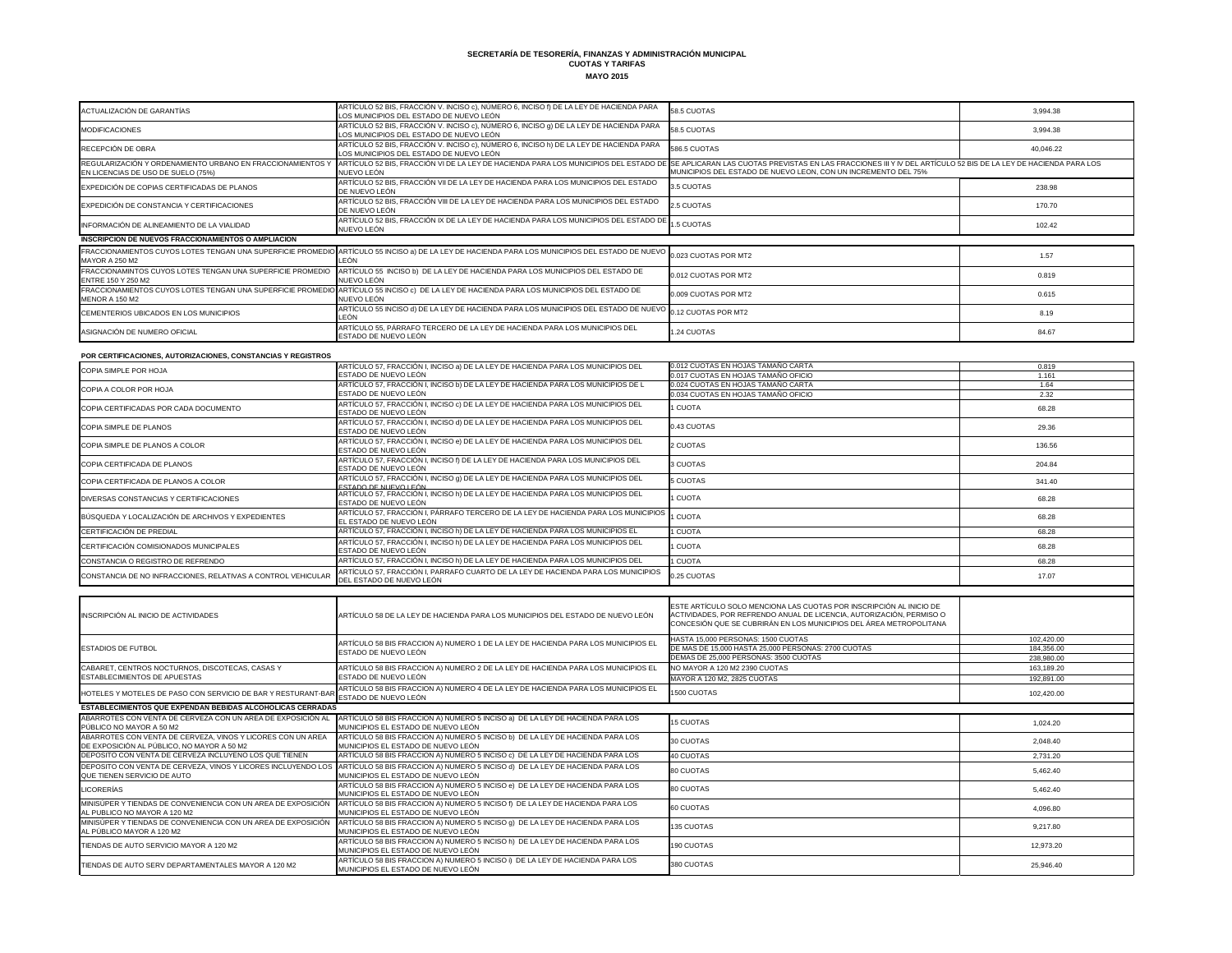| ACTUALIZACIÓN DE GARANTÍAS                                                                                | ARTÍCULO 52 BIS, FRACCIÓN V. INCISO c), NÚMERO 6, INCISO f) DE LA LEY DE HACIENDA PARA<br>LOS MUNICIPIOS DEL ESTADO DE NUEVO LEÓN                                                                                  | 58.5 CUOTAS                                                                                                                                                                                                       | 3,994.38                 |
|-----------------------------------------------------------------------------------------------------------|--------------------------------------------------------------------------------------------------------------------------------------------------------------------------------------------------------------------|-------------------------------------------------------------------------------------------------------------------------------------------------------------------------------------------------------------------|--------------------------|
| <b>MODIFICACIONES</b>                                                                                     | ARTÍCULO 52 BIS, FRACCIÓN V. INCISO c), NÚMERO 6, INCISO 9) DE LA LEY DE HACIENDA PARA<br>LOS MUNICIPIOS DEL ESTADO DE NUEVO LEÓN                                                                                  | 58.5 CUOTAS                                                                                                                                                                                                       | 3,994.38                 |
| RECEPCIÓN DE OBRA                                                                                         | ARTÍCULO 52 BIS, FRACCIÓN V. INCISO c), NÚMERO 6, INCISO h) DE LA LEY DE HACIENDA PARA<br>LOS MUNICIPIOS DEL ESTADO DE NUEVO LEÓN                                                                                  | 586.5 CUOTAS                                                                                                                                                                                                      | 40,046.22                |
| REGULARIZACIÓN Y ORDENAMIENTO URBANO EN FRACCIONAMIENTOS Y<br>EN LICENCIAS DE USO DE SUELO (75%)          | ARTÍCULO 52 BIS, FRACCIÓN VI DE LA LEY DE HACIENDA PARA LOS MUNICIPIOS DEL ESTADO DE SE APLICARAN LAS CUOTAS PREVISTAS EN LAS FRACCIONES III Y IV DEL ARTÍCULO 52 BIS DE LA LEY DE HACIENDA PARA LOS<br>NUEVO LEÓN | MUNICIPIOS DEL ESTADO DE NUEVO LEON, CON UN INCREMENTO DEL 75%                                                                                                                                                    |                          |
| EXPEDICIÓN DE COPIAS CERTIFICADAS DE PLANOS                                                               | ARTÍCULO 52 BIS, FRACCIÓN VII DE LA LEY DE HACIENDA PARA LOS MUNICIPIOS DEL ESTADO<br>DE NUEVO LEÓN                                                                                                                | 3.5 CUOTAS                                                                                                                                                                                                        | 238.98                   |
| EXPEDICIÓN DE CONSTANCIA Y CERTIFICACIONES                                                                | ARTÍCULO 52 BIS, FRACCIÓN VIII DE LA LEY DE HACIENDA PARA LOS MUNICIPIOS DEL ESTADO<br>DE NUEVO LEÓN                                                                                                               | 2.5 CUOTAS                                                                                                                                                                                                        | 170.70                   |
| INFORMACIÓN DE ALINEAMIENTO DE LA VIALIDAD                                                                | ARTÍCULO 52 BIS, FRACCIÓN IX DE LA LEY DE HACIENDA PARA LOS MUNICIPIOS DEL ESTADO DE                                                                                                                               | 1.5 CUOTAS                                                                                                                                                                                                        | 102.42                   |
| INSCRIPCION DE NUEVOS FRACCIONAMIENTOS O AMPLIACION                                                       | NUEVO LEÓN                                                                                                                                                                                                         |                                                                                                                                                                                                                   |                          |
| FRACCIONAMIENTOS CUYOS LOTES TENGAN UNA SUPERFICIE PROMEDIC<br><b>MAYOR A 250 M2</b>                      | ARTÍCULO 55 INCISO a) DE LA LEY DE HACIENDA PARA LOS MUNICIPIOS DEL ESTADO DE NUEVO<br>LEÓN                                                                                                                        | 0.023 CUOTAS POR MT2                                                                                                                                                                                              | 1.57                     |
| FRACCIONAMINTOS CUYOS LOTES TENGAN UNA SUPERFICIE PROMEDIO                                                | ARTÍCULO 55 INCISO b) DE LA LEY DE HACIENDA PARA LOS MUNICIPIOS DEL ESTADO DE                                                                                                                                      | 0.012 CUOTAS POR MT2                                                                                                                                                                                              | 0.819                    |
| ENTRE 150 Y 250 M2<br>FRACCIONAMIENTOS CUYOS LOTES TENGAN UNA SUPERFICIE PROMEDIO                         | NUEVO LEÓN<br>ARTÍCULO 55 INCISO c) DE LA LEY DE HACIENDA PARA LOS MUNICIPIOS DEL ESTADO DE                                                                                                                        | 0.009 CUOTAS POR MT2                                                                                                                                                                                              | 0.615                    |
| <b>MENOR A 150 M2</b><br>CEMENTERIOS UBICADOS EN LOS MUNICIPIOS                                           | NUEVO LEÓN<br>ARTÍCULO 55 INCISO d) DE LA LEY DE HACIENDA PARA LOS MUNICIPIOS DEL ESTADO DE NUEVO                                                                                                                  | 0.12 CUOTAS POR MT2                                                                                                                                                                                               | 8.19                     |
| ASIGNACIÓN DE NUMERO OFICIAL                                                                              | LEÓN<br>ARTÍCULO 55, PÁRRAFO TERCERO DE LA LEY DE HACIENDA PARA LOS MUNICIPIOS DEL                                                                                                                                 | 1.24 CUOTAS                                                                                                                                                                                                       | 84.67                    |
|                                                                                                           | ESTADO DE NUEVO LEÓN                                                                                                                                                                                               |                                                                                                                                                                                                                   |                          |
| POR CERTIFICACIONES, AUTORIZACIONES, CONSTANCIAS Y REGISTROS                                              |                                                                                                                                                                                                                    |                                                                                                                                                                                                                   |                          |
| COPIA SIMPLE POR HOJA                                                                                     | ARTÍCULO 57, FRACCIÓN I, INCISO a) DE LA LEY DE HACIENDA PARA LOS MUNICIPIOS DEL<br>ESTADO DE NUEVO LEÓN                                                                                                           | 0.012 CUOTAS EN HOJAS TAMAÑO CARTA<br>0.017 CUOTAS EN HOJAS TAMAÑO OFICIO                                                                                                                                         | 0.819<br>1.161           |
|                                                                                                           | ARTÍCULO 57, FRACCIÓN I, INCISO b) DE LA LEY DE HACIENDA PARA LOS MUNICIPIOS DE L                                                                                                                                  | 0.024 CUOTAS EN HOJAS TAMAÑO CARTA                                                                                                                                                                                | 1.64                     |
| COPIA A COLOR POR HOJA                                                                                    | ESTADO DE NUEVO LEÓN                                                                                                                                                                                               | 0.034 CUOTAS EN HOJAS TAMAÑO OFICIO                                                                                                                                                                               | 2.32                     |
| COPIA CERTIFICADAS POR CADA DOCUMENTO                                                                     | ARTÍCULO 57, FRACCIÓN I, INCISO c) DE LA LEY DE HACIENDA PARA LOS MUNICIPIOS DEL<br>ESTADO DE NUEVO LEÓN                                                                                                           | 1 CUOTA                                                                                                                                                                                                           | 68.28                    |
| COPIA SIMPLE DE PLANOS                                                                                    | ARTÍCULO 57, FRACCIÓN I, INCISO d) DE LA LEY DE HACIENDA PARA LOS MUNICIPIOS DEL<br>ESTADO DE NUEVO LEÓN                                                                                                           | 0.43 CUOTAS                                                                                                                                                                                                       | 29.36                    |
| COPIA SIMPLE DE PLANOS A COLOR                                                                            | ARTÍCULO 57, FRACCIÓN I, INCISO e) DE LA LEY DE HACIENDA PARA LOS MUNICIPIOS DEL<br>ESTADO DE NUEVO LEÓN                                                                                                           | 2 CUOTAS                                                                                                                                                                                                          | 136.56                   |
| COPIA CERTIFICADA DE PLANOS                                                                               | ARTÍCULO 57, FRACCIÓN I, INCISO f) DE LA LEY DE HACIENDA PARA LOS MUNICIPIOS DEL<br>ESTADO DE NUEVO LEÓN                                                                                                           | 3 CUOTAS                                                                                                                                                                                                          | 204.84                   |
| COPIA CERTIFICADA DE PLANOS A COLOR                                                                       | ARTÍCULO 57, FRACCIÓN I, INCISO 9) DE LA LEY DE HACIENDA PARA LOS MUNICIPIOS DEL<br>ESTADO DE NUEVO LEÓN                                                                                                           | <b>5 CUOTAS</b>                                                                                                                                                                                                   | 341.40                   |
| DIVERSAS CONSTANCIAS Y CERTIFICACIONES                                                                    | ARTÍCULO 57, FRACCIÓN I, INCISO h) DE LA LEY DE HACIENDA PARA LOS MUNICIPIOS DEL<br>ESTADO DE NUEVO LEÓN                                                                                                           | 1 CUOTA                                                                                                                                                                                                           | 68.28                    |
| BÚSQUEDA Y LOCALIZACIÓN DE ARCHIVOS Y EXPEDIENTES                                                         | ARTÍCULO 57, FRACCIÓN I, PÁRRAFO TERCERO DE LA LEY DE HACIENDA PARA LOS MUNICIPIOS<br>EL ESTADO DE NUEVO LEÓN                                                                                                      | 1 CUOTA                                                                                                                                                                                                           | 68.28                    |
| CERTIFICACIÓN DE PREDIAL                                                                                  | ARTÍCULO 57, FRACCIÓN I, INCISO h) DE LA LEY DE HACIENDA PARA LOS MUNICIPIOS EL                                                                                                                                    | 1 CUOTA                                                                                                                                                                                                           | 68.28                    |
| CERTIFICACIÓN COMISIONADOS MUNICIPALES                                                                    | ARTÍCULO 57, FRACCIÓN I, INCISO h) DE LA LEY DE HACIENDA PARA LOS MUNICIPIOS DEL<br>ESTADO DE NUEVO LEÓN                                                                                                           | 1 CUOTA                                                                                                                                                                                                           | 68.28                    |
| CONSTANCIA O REGISTRO DE REFRENDO                                                                         | ARTÍCULO 57, FRACCIÓN I, INCISO h) DE LA LEY DE HACIENDA PARA LOS MUNICIPIOS DEL                                                                                                                                   | 1 CUOTA                                                                                                                                                                                                           | 68.28                    |
| CONSTANCIA DE NO INFRACCIONES, RELATIVAS A CONTROL VEHICULAR                                              | ARTÍCULO 57, FRACCIÓN I, PARRAFO CUARTO DE LA LEY DE HACIENDA PARA LOS MUNICIPIOS<br>DEL ESTADO DE NUEVO LEÓN                                                                                                      | 0.25 CUOTAS                                                                                                                                                                                                       | 17.07                    |
|                                                                                                           |                                                                                                                                                                                                                    |                                                                                                                                                                                                                   |                          |
| INSCRIPCIÓN AL INICIO DE ACTIVIDADES                                                                      | ARTÍCULO 58 DE LA LEY DE HACIENDA PARA LOS MUNICIPIOS DEL ESTADO DE NUEVO LEÓN                                                                                                                                     | ESTE ARTÍCULO SOLO MENCIONA LAS CUOTAS POR INSCRIPCIÓN AL INICIO DE<br>ACTIVIDADES, POR REFRENDO ANUAL DE LICENCIA, AUTORIZACIÓN, PERMISO O<br>CONCESIÓN QUE SE CUBRIRÁN EN LOS MUNICIPIOS DEL ÁREA METROPOLITANA |                          |
|                                                                                                           | ARTÍCULO 58 BIS FRACCION A) NUMERO 1 DE LA LEY DE HACIENDA PARA LOS MUNICIPIOS EL                                                                                                                                  | HASTA 15,000 PERSONAS: 1500 CUOTAS                                                                                                                                                                                | 102,420.00               |
| <b>ESTADIOS DE FUTBOL</b>                                                                                 | ESTADO DE NUEVO LEÓN                                                                                                                                                                                               | DE MAS DE 15,000 HASTA 25,000 PERSONAS: 2700 CUOTAS<br>DEMAS DE 25,000 PERSONAS: 3500 CUOTAS                                                                                                                      | 184,356.00               |
| CABARET, CENTROS NOCTURNOS, DISCOTECAS, CASAS Y                                                           | ARTÍCULO 58 BIS FRACCION A) NUMERO 2 DE LA LEY DE HACIENDA PARA LOS MUNICIPIOS EL                                                                                                                                  | NO MAYOR A 120 M2 2390 CUOTAS                                                                                                                                                                                     | 238,980.00               |
| <b>ESTABLECIMIENTOS DE APUESTAS</b>                                                                       | ESTADO DE NUEVO LEÓN                                                                                                                                                                                               | MAYOR A 120 M2, 2825 CUOTAS                                                                                                                                                                                       | 163,189.20<br>192,891.00 |
| HOTELES Y MOTELES DE PASO CON SERVICIO DE BAR Y RESTURANT-BAR                                             | ARTÍCULO 58 BIS FRACCION A) NUMERO 4 DE LA LEY DE HACIENDA PARA LOS MUNICIPIOS EL<br>ESTADO DE NUEVO LEÓN                                                                                                          | 1500 CUOTAS                                                                                                                                                                                                       | 102,420.00               |
| <b>ESTABLECIMIENTOS QUE EXPENDAN BEBIDAS ALCOHOLICAS CERRADAS</b>                                         |                                                                                                                                                                                                                    |                                                                                                                                                                                                                   |                          |
| ABARROTES CON VENTA DE CERVEZA CON UN AREA DE EXPOSICIÓN AL<br>PÚBLICO NO MAYOR A 50 M2                   | ARTÍCULO 58 BIS FRACCION A) NUMERO 5 INCISO a) DE LA LEY DE HACIENDA PARA LOS<br>MUNICIPIOS EL ESTADO DE NUEVO LEÓN                                                                                                | <b>15 CUOTAS</b>                                                                                                                                                                                                  | 1,024.20                 |
| ABARROTES CON VENTA DE CERVEZA, VINOS Y LICORES CON UN AREA<br>DE EXPOSICIÓN AL PÚBLICO, NO MAYOR A 50 M2 | ARTÍCULO 58 BIS FRACCION A) NUMERO 5 INCISO b) DE LA LEY DE HACIENDA PARA LOS<br>MUNICIPIOS EL ESTADO DE NUEVO LEÓN                                                                                                | 30 CUOTAS                                                                                                                                                                                                         | 2,048.40                 |
| DEPOSITO CON VENTA DE CERVEZA INCLUYENO LOS QUE TIENEN                                                    | ARTÍCULO 58 BIS FRACCION A) NUMERO 5 INCISO c) DE LA LEY DE HACIENDA PARA LOS                                                                                                                                      | 40 CUOTAS                                                                                                                                                                                                         | 2,731.20                 |
| DEPOSITO CON VENTA DE CERVEZA, VINOS Y LICORES INCLUYENDO LOS<br>QUE TIENEN SERVICIO DE AUTO              | ARTÍCULO 58 BIS FRACCION A) NUMERO 5 INCISO d) DE LA LEY DE HACIENDA PARA LOS<br>MUNICIPIOS EL ESTADO DE NUEVO LEÓN                                                                                                | 80 CUOTAS                                                                                                                                                                                                         | 5,462.40                 |
| LICORERÍAS                                                                                                | ARTÍCULO 58 BIS FRACCION A) NUMERO 5 INCISO e) DE LA LEY DE HACIENDA PARA LOS<br>MUNICIPIOS EL ESTADO DE NUEVO LEÓN                                                                                                | 80 CUOTAS                                                                                                                                                                                                         | 5,462.40                 |
| MINISÚPER Y TIENDAS DE CONVENIENCIA CON UN AREA DE EXPOSICIÓN<br>AL PUBLICO NO MAYOR A 120 M2             | ARTÍCULO 58 BIS FRACCION A) NUMERO 5 INCISO f) DE LA LEY DE HACIENDA PARA LOS<br>MUNICIPIOS EL ESTADO DE NUEVO LEÓN                                                                                                | 60 CUOTAS                                                                                                                                                                                                         | 4,096.80                 |
| MINISÚPER Y TIENDAS DE CONVENIENCIA CON UN AREA DE EXPOSICIÓN<br>AL PÚBLICO MAYOR A 120 M2                | ARTÍCULO 58 BIS FRACCION A) NUMERO 5 INCISO 9) DE LA LEY DE HACIENDA PARA LOS<br>MUNICIPIOS EL ESTADO DE NUEVO LEÓN                                                                                                | 135 CUOTAS                                                                                                                                                                                                        | 9,217.80                 |
| TIENDAS DE AUTO SERVICIO MAYOR A 120 M2                                                                   | ARTÍCULO 58 BIS FRACCION A) NUMERO 5 INCISO h) DE LA LEY DE HACIENDA PARA LOS<br>MUNICIPIOS EL ESTADO DE NUEVO LEÓN                                                                                                | <b>190 CUOTAS</b>                                                                                                                                                                                                 | 12,973.20                |
| TIENDAS DE AUTO SERV DEPARTAMENTALES MAYOR A 120 M2                                                       | ARTÍCULO 58 BIS FRACCION A) NUMERO 5 INCISO i) DE LA LEY DE HACIENDA PARA LOS<br>MUNICIPIOS EL ESTADO DE NUEVO LEÓN                                                                                                | 380 CUOTAS                                                                                                                                                                                                        | 25,946.40                |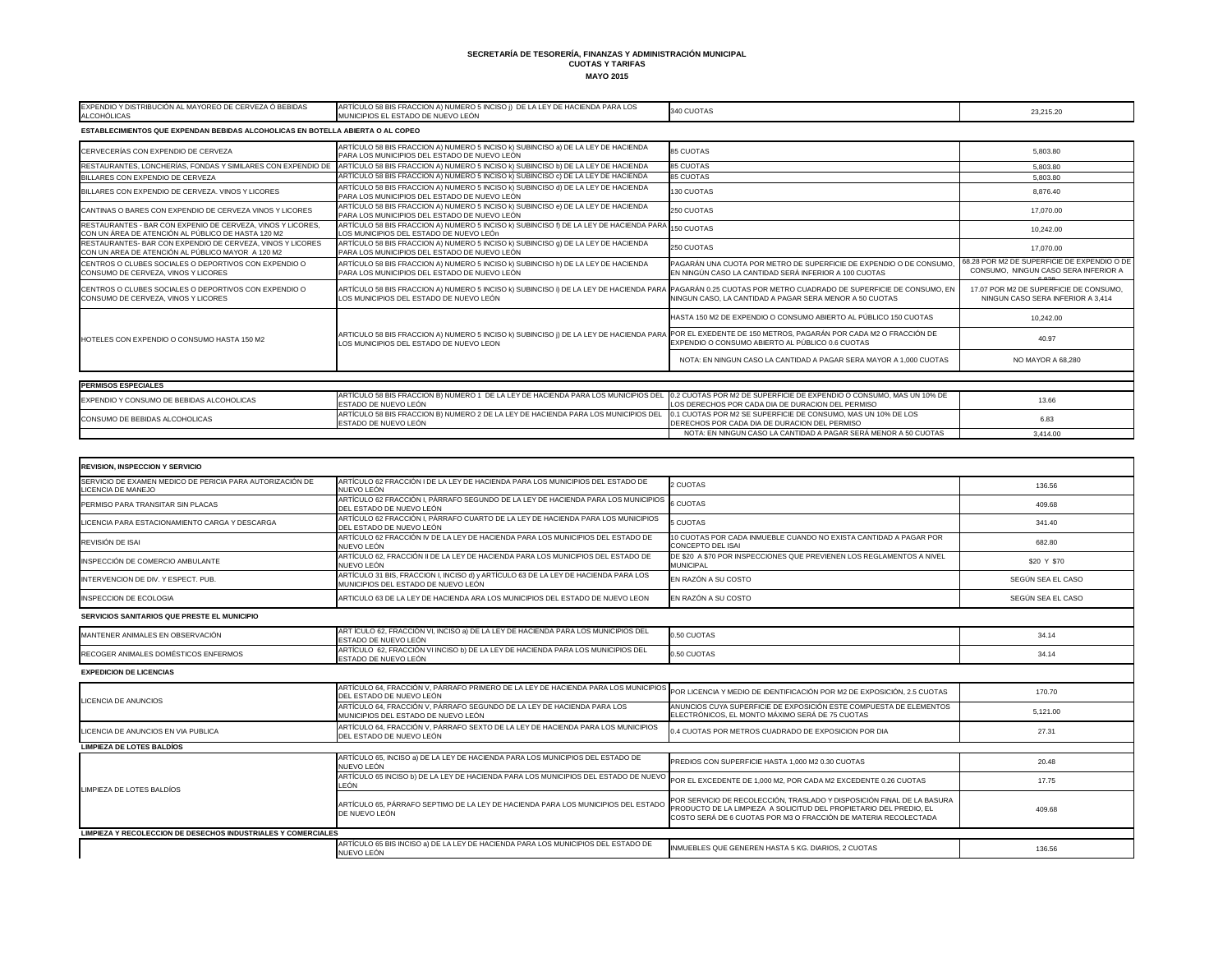| EXPENDIO Y DISTRIBUCIÓN AL MAYOREO DE CERVEZA Ó BEBIDAS<br>ALCOHÓLICAS                                            | ARTÍCULO 58 BIS FRACCION A) NUMERO 5 INCISO ¡) DE LA LEY DE HACIENDA PARA LOS<br>MUNICIPIOS EL ESTADO DE NUEVO LEÓN                                                                                   | 340 CUOTAS                                                                                                                  | 23,215.20                                                                                    |
|-------------------------------------------------------------------------------------------------------------------|-------------------------------------------------------------------------------------------------------------------------------------------------------------------------------------------------------|-----------------------------------------------------------------------------------------------------------------------------|----------------------------------------------------------------------------------------------|
| ESTABLECIMIENTOS QUE EXPENDAN BEBIDAS ALCOHOLICAS EN BOTELLA ABIERTA O AL COPEO                                   |                                                                                                                                                                                                       |                                                                                                                             |                                                                                              |
| CERVECERÍAS CON EXPENDIO DE CERVEZA                                                                               | ARTÍCULO 58 BIS FRACCION A) NUMERO 5 INCISO k) SUBINCISO a) DE LA LEY DE HACIENDA<br>PARA LOS MUNICIPIOS DEL ESTADO DE NUEVO LEÓN                                                                     | <b>85 CUOTAS</b>                                                                                                            | 5,803.80                                                                                     |
| RESTAURANTES. LONCHERÍAS. FONDAS Y SIMILARES CON EXPENDIO DE                                                      | ARTÍCULO 58 BIS FRACCION A) NUMERO 5 INCISO k) SUBINCISO b) DE LA LEY DE HACIENDA                                                                                                                     | <b>85 CUOTAS</b>                                                                                                            | 5,803.80                                                                                     |
| BILLARES CON EXPENDIO DE CERVEZA                                                                                  | ARTÍCULO 58 BIS FRACCION A) NUMERO 5 INCISO k) SUBINCISO c) DE LA LEY DE HACIENDA                                                                                                                     | 85 CUOTAS                                                                                                                   | 5,803.80                                                                                     |
| BILLARES CON EXPENDIO DE CERVEZA, VINOS Y LICORES                                                                 | ARTÍCULO 58 BIS FRACCION A) NUMERO 5 INCISO k) SUBINCISO d) DE LA LEY DE HACIENDA<br>PARA LOS MUNICIPIOS DEL ESTADO DE NUEVO LEÓN                                                                     | 130 CUOTAS                                                                                                                  | 8,876.40                                                                                     |
| CANTINAS O BARES CON EXPENDIO DE CERVEZA VINOS Y LICORES                                                          | ARTÍCULO 58 BIS FRACCION A) NUMERO 5 INCISO k) SUBINCISO e) DE LA LEY DE HACIENDA<br>PARA LOS MUNICIPIOS DEL ESTADO DE NUEVO LEÓN                                                                     | 250 CUOTAS                                                                                                                  | 17,070.00                                                                                    |
| RESTAURANTES - BAR CON EXPENIO DE CERVEZA, VINOS Y LICORES.<br>CON UN ÁREA DE ATENCIÓN AL PÚBLICO DE HASTA 120 M2 | ARTÍCULO 58 BIS FRACCION A) NUMERO 5 INCISO k) SUBINCISO f) DE LA LEY DE HACIENDA PARA<br>LOS MUNICIPIOS DEL ESTADO DE NUEVO LEÓn                                                                     | 150 CUOTAS                                                                                                                  | 10,242.00                                                                                    |
| RESTAURANTES- BAR CON EXPENDIO DE CERVEZA, VINOS Y LICORES<br>CON UN AREA DE ATENCIÓN AL PÚBLICO MAYOR A 120 M2   | ARTÍCULO 58 BIS FRACCION A) NUMERO 5 INCISO K) SUBINCISO 9) DE LA LEY DE HACIENDA<br>PARA LOS MUNICIPIOS DEL ESTADO DE NUEVO LEÓN                                                                     | 250 CUOTAS                                                                                                                  | 17.070.00                                                                                    |
| CENTROS O CLUBES SOCIALES O DEPORTIVOS CON EXPENDIO O<br>CONSUMO DE CERVEZA, VINOS Y LICORES                      | ARTÍCULO 58 BIS FRACCION A) NUMERO 5 INCISO k) SUBINCISO h) DE LA LEY DE HACIENDA<br>PARA LOS MUNICIPIOS DEL ESTADO DE NUEVO LEÓN                                                                     | PAGARÁN UNA CUOTA POR METRO DE SUPERFICIE DE EXPENDIO O DE CONSUMO<br>EN NINGÚN CASO LA CANTIDAD SERÁ INFERIOR A 100 CUOTAS | 68.28 POR M2 DE SUPERFICIE DE EXPENDIO O DE<br>CONSUMO, NINGUN CASO SERA INFERIOR A<br>0.000 |
| CENTROS O CLUBES SOCIALES O DEPORTIVOS CON EXPENDIO O<br>CONSUMO DE CERVEZA, VINOS Y LICORES                      | ARTÍCULO 58 BIS FRACCION A) NUMERO 5 INCISO k) SUBINCISO i) DE LA LEY DE HACIENDA PARA PAGARÁN 0.25 CUOTAS POR METRO CUADRADO DE SUPERFICIE DE CONSUMO, EN<br>LOS MUNICIPIOS DEL ESTADO DE NUEVO LEÓN | NINGUN CASO, LA CANTIDAD A PAGAR SERA MENOR A 50 CUOTAS                                                                     | 17.07 POR M2 DE SUPERFICIE DE CONSUMO.<br>NINGUN CASO SERA INFERIOR A 3,414                  |
|                                                                                                                   |                                                                                                                                                                                                       | HASTA 150 M2 DE EXPENDIO O CONSUMO ABIERTO AL PÚBLICO 150 CUOTAS                                                            | 10.242.00                                                                                    |
| HOTELES CON EXPENDIO O CONSUMO HASTA 150 M2                                                                       | ARTICULO 58 BIS FRACCION A) NUMERO 5 INCISO k) SUBINCISO J) DE LA LEY DE HACIENDA PARA POR EL EXEDENTE DE 150 METROS, PAGARÁN POR CADA M2 O FRACCIÓN DE<br>LOS MUNICIPIOS DEL ESTADO DE NUEVO LEON    | EXPENDIO O CONSUMO ABIERTO AL PÚBLICO 0.6 CUOTAS                                                                            | 40.97                                                                                        |
|                                                                                                                   |                                                                                                                                                                                                       | NOTA: EN NINGUN CASO LA CANTIDAD A PAGAR SERA MAYOR A 1,000 CUOTAS                                                          | NO MAYOR A 68,280                                                                            |
| <b>PERMISOS ESPECIALES</b>                                                                                        |                                                                                                                                                                                                       |                                                                                                                             |                                                                                              |
| EXPENDIO Y CONSUMO DE BEBIDAS ALCOHOLICAS                                                                         | ARTÍCULO 58 BIS FRACCION B) NUMERO 1 DE LA LEY DE HACIENDA PARA LOS MUNICIPIOS DEL 0.2 CUOTAS POR M2 DE SUPERFICIE DE EXPENDIO O CONSUMO, MAS UN 10% DE<br>ESTADO DE NUEVO LEÓN                       | LOS DERECHOS POR CADA DIA DE DURACION DEL PERMISO                                                                           | 13.66                                                                                        |
| CONSUMO DE BEBIDAS ALCOHOLICAS                                                                                    | ARTÍCULO 58 BIS FRACCION B) NUMERO 2 DE LA LEY DE HACIENDA PARA LOS MUNICIPIOS DEL<br>ESTADO DE NUEVO LEÓN                                                                                            | 0.1 CUOTAS POR M2 SE SUPERFICIE DE CONSUMO, MAS UN 10% DE LOS<br>DERECHOS POR CADA DIA DE DURACION DEL PERMISO              | 6.83                                                                                         |
|                                                                                                                   |                                                                                                                                                                                                       | NOTA: EN NINGUN CASO LA CANTIDAD A PAGAR SERÁ MENOR A 50 CUOTAS                                                             | 3.414.00                                                                                     |

| <b>REVISION, INSPECCION Y SERVICIO</b>                                          |                                                                                                                            |                                                                                                                                                                                                                 |                   |
|---------------------------------------------------------------------------------|----------------------------------------------------------------------------------------------------------------------------|-----------------------------------------------------------------------------------------------------------------------------------------------------------------------------------------------------------------|-------------------|
| SERVICIO DE EXAMEN MEDICO DE PERICIA PARA AUTORIZACIÓN DE<br>LICENCIA DE MANEJO | ARTÍCULO 62 FRACCIÓN I DE LA LEY DE HACIENDA PARA LOS MUNICIPIOS DEL ESTADO DE<br>NUEVO LEÓN                               | 2 CUOTAS                                                                                                                                                                                                        | 136.56            |
| PERMISO PARA TRANSITAR SIN PLACAS                                               | ARTÍCULO 62 FRACCIÓN I, PÁRRAFO SEGUNDO DE LA LEY DE HACIENDA PARA LOS MUNICIPIOS<br>DEL ESTADO DE NUEVO LEÓN              | <b>6 CUOTAS</b>                                                                                                                                                                                                 | 409.68            |
| LICENCIA PARA ESTACIONAMIENTO CARGA Y DESCARGA                                  | ARTÍCULO 62 FRACCIÓN I, PÁRRAFO CUARTO DE LA LEY DE HACIENDA PARA LOS MUNICIPIOS<br>DEL ESTADO DE NUEVO LEÓN               | <b>5 CUOTAS</b>                                                                                                                                                                                                 | 341.40            |
| REVISIÓN DE ISAI                                                                | ARTÍCULO 62 FRACCIÓN IV DE LA LEY DE HACIENDA PARA LOS MUNICIPIOS DEL ESTADO DE<br>NUEVO LEÓN                              | 10 CUOTAS POR CADA INMUEBLE CUANDO NO EXISTA CANTIDAD A PAGAR POR<br><b>CONCEPTO DEL ISAI</b>                                                                                                                   | 682.80            |
| INSPECCIÓN DE COMERCIO AMBULANTE                                                | ARTÍCULO 62, FRACCIÓN II DE LA LEY DE HACIENDA PARA LOS MUNICIPIOS DEL ESTADO DE<br>NUEVO LEÓN                             | DE \$20 A \$70 POR INSPECCIONES QUE PREVIENEN LOS REGLAMENTOS A NIVEL<br><b>MUNICIPAL</b>                                                                                                                       | \$20 Y \$70       |
| INTERVENCION DE DIV. Y ESPECT. PUB.                                             | ARTÍCULO 31 BIS, FRACCION I, INCISO d) y ARTÍCULO 63 DE LA LEY DE HACIENDA PARA LOS<br>MUNICIPIOS DEL ESTADO DE NUEVO LEÓN | EN RAZÓN A SU COSTO                                                                                                                                                                                             | SEGÚN SEA EL CASO |
| INSPECCION DE ECOLOGIA                                                          | ARTICULO 63 DE LA LEY DE HACIENDA ARA LOS MUNICIPIOS DEL ESTADO DE NUEVO LEON                                              | EN RAZÓN A SU COSTO                                                                                                                                                                                             | SEGÚN SEA EL CASO |
| SERVICIOS SANITARIOS QUE PRESTE EL MUNICIPIO                                    |                                                                                                                            |                                                                                                                                                                                                                 |                   |
| MANTENER ANIMALES EN OBSERVACIÓN                                                | ARTÍCULO 62, FRACCIÓN VI, INCISO a) DE LA LEY DE HACIENDA PARA LOS MUNICIPIOS DEL<br>ESTADO DE NUEVO LEÓN                  | 0.50 CUOTAS                                                                                                                                                                                                     | 34.14             |
| RECOGER ANIMALES DOMÉSTICOS ENFERMOS                                            | ARTÍCULO 62, FRACCIÓN VI INCISO b) DE LA LEY DE HACIENDA PARA LOS MUNICIPIOS DEL<br>ESTADO DE NUEVO LEÓN                   | 0.50 CUOTAS                                                                                                                                                                                                     | 34.14             |
| <b>EXPEDICION DE LICENCIAS</b>                                                  |                                                                                                                            |                                                                                                                                                                                                                 |                   |
| LICENCIA DE ANUNCIOS                                                            | ARTÍCULO 64, FRACCIÓN V, PÁRRAFO PRIMERO DE LA LEY DE HACIENDA PARA LOS MUNICIPIOS<br>DEL ESTADO DE NUEVO LEÓN             | POR LICENCIA Y MEDIO DE IDENTIFICACIÓN POR M2 DE EXPOSICIÓN, 2.5 CUOTAS                                                                                                                                         | 170.70            |
|                                                                                 | ARTÍCULO 64, FRACCIÓN V, PÁRRAFO SEGUNDO DE LA LEY DE HACIENDA PARA LOS<br>MUNICIPIOS DEL ESTADO DE NUEVO LEÓN             | ANUNCIOS CUYA SUPERFICIE DE EXPOSICIÓN ESTE COMPUESTA DE ELEMENTOS<br>ELECTRÓNICOS, EL MONTO MÁXIMO SERÁ DE 75 CUOTAS                                                                                           | 5,121.00          |
| LICENCIA DE ANUNCIOS EN VIA PUBLICA                                             | ARTÍCULO 64, FRACCIÓN V, PÁRRAFO SEXTO DE LA LEY DE HACIENDA PARA LOS MUNICIPIOS<br>DEL ESTADO DE NUEVO LEÓN               | 0.4 CUOTAS POR METROS CUADRADO DE EXPOSICION POR DIA                                                                                                                                                            | 27.31             |
| <b>LIMPIEZA DE LOTES BALDÍOS</b>                                                |                                                                                                                            |                                                                                                                                                                                                                 |                   |
| LIMPIEZA DE LOTES BALDÍOS                                                       | ARTÍCULO 65, INCISO a) DE LA LEY DE HACIENDA PARA LOS MUNICIPIOS DEL ESTADO DE<br>NUEVO LEÓN                               | PREDIOS CON SUPERFICIE HASTA 1,000 M2 0.30 CUOTAS                                                                                                                                                               | 20.48             |
|                                                                                 | ARTÍCULO 65 INCISO b) DE LA LEY DE HACIENDA PARA LOS MUNICIPIOS DEL ESTADO DE NUEVO<br>LEÓN                                | POR EL EXCEDENTE DE 1,000 M2, POR CADA M2 EXCEDENTE 0.26 CUOTAS                                                                                                                                                 | 17.75             |
|                                                                                 | ARTÍCULO 65, PÁRRAFO SEPTIMO DE LA LEY DE HACIENDA PARA LOS MUNICIPIOS DEL ESTADO<br>DE NUEVO LEÓN                         | POR SERVICIO DE RECOLECCIÓN, TRASLADO Y DISPOSICIÓN FINAL DE LA BASURA<br>PRODUCTO DE LA LIMPIEZA A SOLICITUD DEL PROPIETARIO DEL PREDIO, EL<br>COSTO SERÁ DE 6 CUOTAS POR M3 O FRACCIÓN DE MATERIA RECOLECTADA | 409.68            |
| <b>LIMPIEZA Y RECOLECCION DE DESECHOS INDUSTRIALES Y COMERCIALES</b>            |                                                                                                                            |                                                                                                                                                                                                                 |                   |
|                                                                                 | ARTÍCULO 65 BIS INCISO a) DE LA LEY DE HACIENDA PARA LOS MUNICIPIOS DEL ESTADO DE<br>NUEVO LEÓN                            | INMUEBLES QUE GENEREN HASTA 5 KG. DIARIOS, 2 CUOTAS                                                                                                                                                             | 136.56            |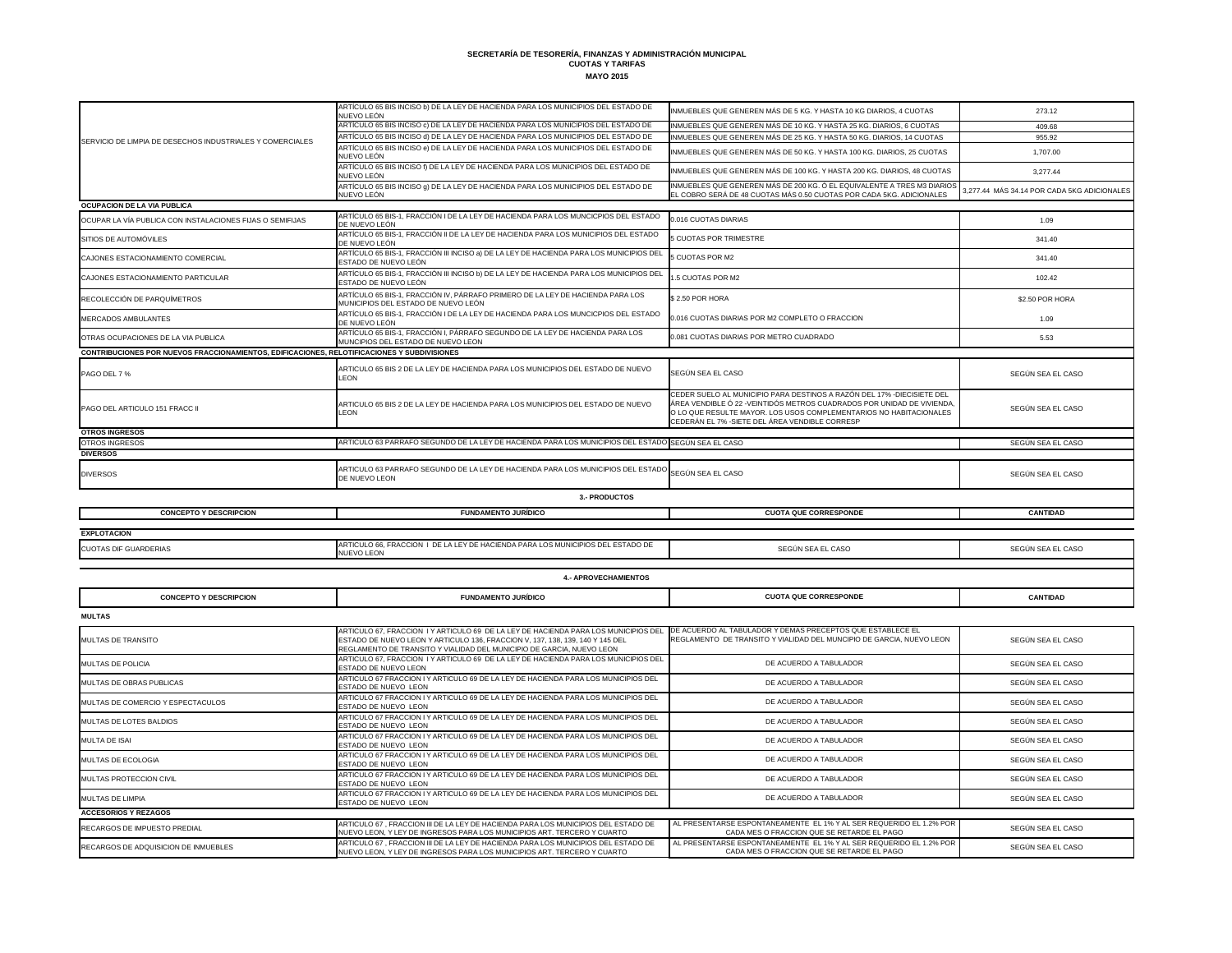|                                                                                             | ARTÍCULO 65 BIS INCISO b) DE LA LEY DE HACIENDA PARA LOS MUNICIPIOS DEL ESTADO DE<br>NUEVO LEÓN                                                                                                                                                    | INMUEBLES QUE GENEREN MÁS DE 5 KG. Y HASTA 10 KG DIARIOS, 4 CUOTAS                                                                                                                                                                                                         | 273.12                                      |
|---------------------------------------------------------------------------------------------|----------------------------------------------------------------------------------------------------------------------------------------------------------------------------------------------------------------------------------------------------|----------------------------------------------------------------------------------------------------------------------------------------------------------------------------------------------------------------------------------------------------------------------------|---------------------------------------------|
|                                                                                             | ARTÍCULO 65 BIS INCISO c) DE LA LEY DE HACIENDA PARA LOS MUNICIPIOS DEL ESTADO DE                                                                                                                                                                  | INMUEBLES QUE GENEREN MÁS DE 10 KG. Y HASTA 25 KG. DIARIOS, 6 CUOTAS                                                                                                                                                                                                       | 409.68                                      |
| SERVICIO DE LIMPIA DE DESECHOS INDUSTRIALES Y COMERCIALES                                   | ARTÍCULO 65 BIS INCISO d) DE LA LEY DE HACIENDA PARA LOS MUNICIPIOS DEL ESTADO DE                                                                                                                                                                  | INMUEBLES QUE GENEREN MÁS DE 25 KG. Y HASTA 50 KG. DIARIOS, 14 CUOTAS                                                                                                                                                                                                      | 955.92                                      |
|                                                                                             | ARTÍCULO 65 BIS INCISO e) DE LA LEY DE HACIENDA PARA LOS MUNICIPIOS DEL ESTADO DE<br>NUEVO LEÓN                                                                                                                                                    | INMUEBLES QUE GENEREN MÁS DE 50 KG. Y HASTA 100 KG. DIARIOS, 25 CUOTAS                                                                                                                                                                                                     | 1,707.00                                    |
|                                                                                             | ARTÍCULO 65 BIS INCISO f) DE LA LEY DE HACIENDA PARA LOS MUNICIPIOS DEL ESTADO DE<br>NUEVO LEÓN                                                                                                                                                    | INMUEBLES QUE GENEREN MÁS DE 100 KG. Y HASTA 200 KG. DIARIOS, 48 CUOTAS                                                                                                                                                                                                    | 3,277.44                                    |
|                                                                                             | ARTÍCULO 65 BIS INCISO 9) DE LA LEY DE HACIENDA PARA LOS MUNICIPIOS DEL ESTADO DE<br>NUEVO LEÓN                                                                                                                                                    | INMUEBLES QUE GENEREN MÁS DE 200 KG. Ó EL EQUIVALENTE A TRES M3 DIARIOS<br>EL COBRO SERÁ DE 48 CUOTAS MÁS 0.50 CUOTAS POR CADA 5KG. ADICIONALES                                                                                                                            | 3,277.44 MÁS 34.14 POR CADA 5KG ADICIONALES |
| <b>OCUPACION DE LA VIA PUBLICA</b>                                                          |                                                                                                                                                                                                                                                    |                                                                                                                                                                                                                                                                            |                                             |
| OCUPAR LA VÍA PUBLICA CON INSTALACIONES FIJAS O SEMIFIJAS                                   | ARTÍCULO 65 BIS-1, FRACCIÓN I DE LA LEY DE HACIENDA PARA LOS MUNCICPIOS DEL ESTADO<br>DE NUEVO LEÓN                                                                                                                                                | 0.016 CUOTAS DIARIAS                                                                                                                                                                                                                                                       | 1.09                                        |
| SITIOS DE AUTOMÓVILES                                                                       | ARTÍCULO 65 BIS-1, FRACCIÓN II DE LA LEY DE HACIENDA PARA LOS MUNICIPIOS DEL ESTADO<br>DE NUEVO LEÓN                                                                                                                                               | 5 CUOTAS POR TRIMESTRE                                                                                                                                                                                                                                                     | 341.40                                      |
| CAJONES ESTACIONAMIENTO COMERCIAL                                                           | ARTÍCULO 65 BIS-1, FRACCIÓN III INCISO a) DE LA LEY DE HACIENDA PARA LOS MUNICIPIOS DEI<br>ESTADO DE NUEVO LEÓN                                                                                                                                    | 5 CUOTAS POR M2                                                                                                                                                                                                                                                            | 341.40                                      |
| CAJONES ESTACIONAMIENTO PARTICULAR                                                          | ARTÍCULO 65 BIS-1, FRACCIÓN III INCISO b) DE LA LEY DE HACIENDA PARA LOS MUNICIPIOS DEI<br>ESTADO DE NUEVO LEÓN                                                                                                                                    | 1.5 CUOTAS POR M2                                                                                                                                                                                                                                                          | 102.42                                      |
| RECOLECCIÓN DE PARQUÍMETROS                                                                 | ARTÍCULO 65 BIS-1, FRACCIÓN IV, PÁRRAFO PRIMERO DE LA LEY DE HACIENDA PARA LOS<br>MUNICIPIOS DEL ESTADO DE NUEVO LEÓN                                                                                                                              | \$2.50 POR HORA                                                                                                                                                                                                                                                            | \$2.50 POR HORA                             |
| <b>MERCADOS AMBULANTES</b>                                                                  | ARTÍCULO 65 BIS-1, FRACCIÓN I DE LA LEY DE HACIENDA PARA LOS MUNCICPIOS DEL ESTADO<br>DE NUEVO LEÓN                                                                                                                                                | 0.016 CUOTAS DIARIAS POR M2 COMPLETO O FRACCION                                                                                                                                                                                                                            | 1.09                                        |
| OTRAS OCUPACIONES DE LA VIA PUBLICA                                                         | ARTÍCULO 65 BIS-1, FRACCIÓN I, PÁRRAFO SEGUNDO DE LA LEY DE HACIENDA PARA LOS<br>MUNCIPIOS DEL ESTADO DE NUEVO LEON                                                                                                                                | 0.081 CUOTAS DIARIAS POR METRO CUADRADO                                                                                                                                                                                                                                    | 5.53                                        |
| CONTRIBUCIONES POR NUEVOS FRACCIONAMIENTOS, EDIFICACIONES, RELOTIFICACIONES Y SUBDIVISIONES |                                                                                                                                                                                                                                                    |                                                                                                                                                                                                                                                                            |                                             |
| PAGO DEL 7 %                                                                                | ARTICULO 65 BIS 2 DE LA LEY DE HACIENDA PARA LOS MUNICIPIOS DEL ESTADO DE NUEVO<br>LEON                                                                                                                                                            | SEGÚN SEA EL CASO                                                                                                                                                                                                                                                          | SEGÚN SEA EL CASO                           |
| <b>PAGO DEL ARTICULO 151 FRACC II</b>                                                       | ARTICULO 65 BIS 2 DE LA LEY DE HACIENDA PARA LOS MUNICIPIOS DEL ESTADO DE NUEVO<br>LEON                                                                                                                                                            | CEDER SUELO AL MUNICIPIO PARA DESTINOS A RAZÓN DEL 17% -DIECISIETE DEL<br>ÁREA VENDIBLE Ó 22 - VEINTIDÓS METROS CUADRADOS POR UNIDAD DE VIVIENDA,<br>O LO QUE RESULTE MAYOR. LOS USOS COMPLEMENTARIOS NO HABITACIONALES<br>CEDERÁN EL 7% - SIETE DEL ÁREA VENDIBLE CORRESP | SEGÚN SEA EL CASO                           |
| <b>OTROS INGRESOS</b>                                                                       |                                                                                                                                                                                                                                                    |                                                                                                                                                                                                                                                                            |                                             |
| OTROS INGRESOS<br><b>DIVERSOS</b>                                                           | ARTICULO 63 PARRAFO SEGUNDO DE LA LEY DE HACIENDA PARA LOS MUNICIPIOS DEL ESTADO SEGÚN SEA EL CASO                                                                                                                                                 |                                                                                                                                                                                                                                                                            | SEGÚN SEA EL CASO                           |
|                                                                                             | ARTICULO 63 PARRAFO SEGUNDO DE LA LEY DE HACIENDA PARA LOS MUNICIPIOS DEL ESTADO SEGÚN SEA EL CASO                                                                                                                                                 |                                                                                                                                                                                                                                                                            |                                             |
| <b>DIVERSOS</b>                                                                             | DE NUEVO LEON                                                                                                                                                                                                                                      |                                                                                                                                                                                                                                                                            | SEGÚN SEA EL CASO                           |
|                                                                                             | <b>3.- PRODUCTOS</b>                                                                                                                                                                                                                               |                                                                                                                                                                                                                                                                            |                                             |
| <b>CONCEPTO Y DESCRIPCION</b>                                                               | <b>FUNDAMENTO JURÍDICO</b>                                                                                                                                                                                                                         | <b>CUOTA QUE CORRESPONDE</b>                                                                                                                                                                                                                                               | <b>CANTIDAD</b>                             |
| <b>EXPLOTACION</b>                                                                          |                                                                                                                                                                                                                                                    |                                                                                                                                                                                                                                                                            |                                             |
| <b>CUOTAS DIF GUARDERIAS</b>                                                                | ARTICULO 66, FRACCION I DE LA LEY DE HACIENDA PARA LOS MUNICIPIOS DEL ESTADO DE                                                                                                                                                                    |                                                                                                                                                                                                                                                                            |                                             |
|                                                                                             | <b>NUEVO LEON</b>                                                                                                                                                                                                                                  | SEGÚN SEA EL CASO                                                                                                                                                                                                                                                          | SEGÚN SEA EL CASO                           |
|                                                                                             |                                                                                                                                                                                                                                                    |                                                                                                                                                                                                                                                                            |                                             |
|                                                                                             | <b>4.- APROVECHAMIENTOS</b>                                                                                                                                                                                                                        |                                                                                                                                                                                                                                                                            |                                             |
| <b>CONCEPTO Y DESCRIPCION</b>                                                               | <b>FUNDAMENTO JURÍDICO</b>                                                                                                                                                                                                                         | <b>CUOTA QUE CORRESPONDE</b>                                                                                                                                                                                                                                               | <b>CANTIDAD</b>                             |
| <b>MULTAS</b>                                                                               |                                                                                                                                                                                                                                                    |                                                                                                                                                                                                                                                                            |                                             |
| <b>MULTAS DE TRANSITO</b>                                                                   | ARTICULO 67, FRACCION I Y ARTICULO 69 DE LA LEY DE HACIENDA PARA LOS MUNICIPIOS DEL<br>ESTADO DE NUEVO LEON Y ARTICULO 136, FRACCION V, 137, 138, 139, 140 Y 145 DEL<br>REGLAMENTO DE TRANSITO Y VIALIDAD DEL MUNICIPIO DE GARCIA, NUEVO LEON      | DE ACUERDO AL TABULADOR Y DEMAS PRECEPTOS QUE ESTABLECE EL<br>REGLAMENTO DE TRANSITO Y VIALIDAD DEL MUNCIPIO DE GARCIA, NUEVO LEON                                                                                                                                         | SEGÚN SEA EL CASO                           |
| <b>MULTAS DE POLICIA</b>                                                                    | ARTICULO 67, FRACCION I Y ARTICULO 69 DE LA LEY DE HACIENDA PARA LOS MUNICIPIOS DEL<br><b>ESTADO DE NUEVO LEON</b>                                                                                                                                 | DE ACUERDO A TABULADOR                                                                                                                                                                                                                                                     | SEGÚN SEA EL CASO                           |
| <b>MULTAS DE OBRAS PUBLICAS</b>                                                             | ARTICULO 67 FRACCION I Y ARTICULO 69 DE LA LEY DE HACIENDA PARA LOS MUNICIPIOS DEL<br><b>ESTADO DE NUEVO LEON</b>                                                                                                                                  | DE ACUERDO A TABULADOR                                                                                                                                                                                                                                                     | SEGÚN SEA EL CASO                           |
| MULTAS DE COMERCIO Y ESPECTACULOS                                                           | ARTICULO 67 FRACCION I Y ARTICULO 69 DE LA LEY DE HACIENDA PARA LOS MUNICIPIOS DEL<br>ESTADO DE NUEVO LEON                                                                                                                                         | DE ACUERDO A TABULADOR                                                                                                                                                                                                                                                     | SEGÚN SEA EL CASO                           |
| MULTAS DE LOTES BALDIOS                                                                     | ARTICULO 67 FRACCION I Y ARTICULO 69 DE LA LEY DE HACIENDA PARA LOS MUNICIPIOS DEL<br>ESTADO DE NUEVO LEON                                                                                                                                         | DE ACUERDO A TABULADOR                                                                                                                                                                                                                                                     | SEGÚN SEA EL CASO                           |
| <b>MULTA DE ISAI</b>                                                                        | ARTICULO 67 FRACCION I Y ARTICULO 69 DE LA LEY DE HACIENDA PARA LOS MUNICIPIOS DEL<br><b>ESTADO DE NUEVO LEON</b>                                                                                                                                  | DE ACUERDO A TABULADOR                                                                                                                                                                                                                                                     | SEGÚN SEA EL CASO                           |
| <b>MULTAS DE ECOLOGIA</b>                                                                   | ARTICULO 67 FRACCION I Y ARTICULO 69 DE LA LEY DE HACIENDA PARA LOS MUNICIPIOS DEL<br>ESTADO DE NUEVO LEON                                                                                                                                         | DE ACUERDO A TABULADOR                                                                                                                                                                                                                                                     | SEGÚN SEA EL CASO                           |
| MULTAS PROTECCION CIVIL                                                                     | ARTICULO 67 FRACCION I Y ARTICULO 69 DE LA LEY DE HACIENDA PARA LOS MUNICIPIOS DEL<br><b>ESTADO DE NUEVO LEON</b>                                                                                                                                  | DE ACUERDO A TABULADOR                                                                                                                                                                                                                                                     | SEGÚN SEA EL CASO                           |
| <b>MULTAS DE LIMPIA</b>                                                                     | ARTICULO 67 FRACCION I Y ARTICULO 69 DE LA LEY DE HACIENDA PARA LOS MUNICIPIOS DEL<br>ESTADO DE NUEVO LEON                                                                                                                                         | DE ACUERDO A TABULADOR                                                                                                                                                                                                                                                     | SEGÚN SEA EL CASO                           |
| <b>ACCESORIOS Y REZAGOS</b>                                                                 |                                                                                                                                                                                                                                                    |                                                                                                                                                                                                                                                                            |                                             |
| RECARGOS DE IMPUESTO PREDIAL                                                                | ARTICULO 67, FRACCION III DE LA LEY DE HACIENDA PARA LOS MUNICIPIOS DEL ESTADO DE<br>NUEVO LEON, Y LEY DE INGRESOS PARA LOS MUNICIPIOS ART. TERCERO Y CUARTO<br>ARTICULO 67 , FRACCION III DE LA LEY DE HACIENDA PARA LOS MUNICIPIOS DEL ESTADO DE | AL PRESENTARSE ESPONTANEAMENTE EL 1% Y AL SER REQUERIDO EL 1.2% POR<br>CADA MES O FRACCION QUE SE RETARDE EL PAGO<br>AL PRESENTARSE ESPONTANEAMENTE EL 1% Y AL SER REQUERIDO EL 1.2% POR                                                                                   | SEGÚN SEA EL CASO                           |